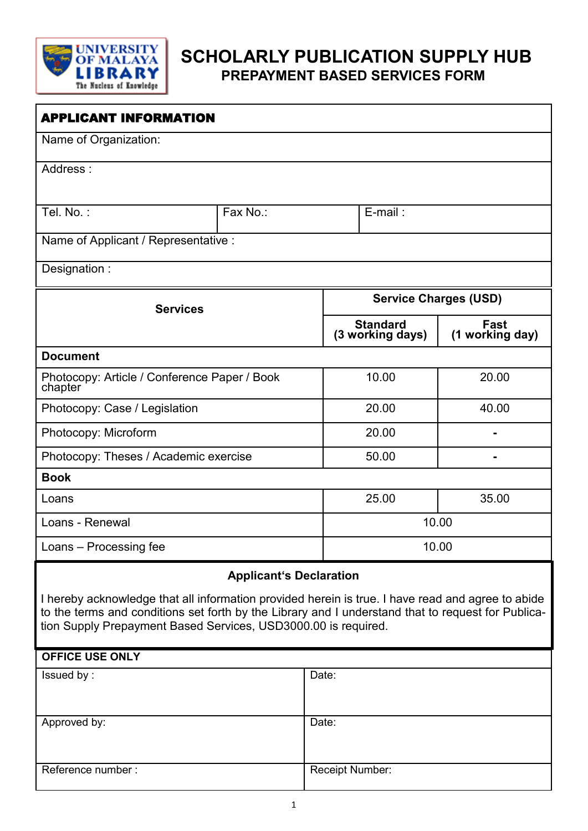

# **SCHOLARLY PUBLICATION SUPPLY HUB PREPAYMENT BASED SERVICES FORM**

| <b>APPLICANT INFORMATION</b>                                                                                                                                                                                                                                              |                                |                 |                                     |                         |  |
|---------------------------------------------------------------------------------------------------------------------------------------------------------------------------------------------------------------------------------------------------------------------------|--------------------------------|-----------------|-------------------------------------|-------------------------|--|
| Name of Organization:                                                                                                                                                                                                                                                     |                                |                 |                                     |                         |  |
| Address:                                                                                                                                                                                                                                                                  |                                |                 |                                     |                         |  |
|                                                                                                                                                                                                                                                                           |                                |                 |                                     |                         |  |
| Tel. No.:                                                                                                                                                                                                                                                                 | Fax No.:                       |                 | $E$ -mail:                          |                         |  |
| Name of Applicant / Representative :                                                                                                                                                                                                                                      |                                |                 |                                     |                         |  |
| Designation:                                                                                                                                                                                                                                                              |                                |                 |                                     |                         |  |
|                                                                                                                                                                                                                                                                           |                                |                 |                                     |                         |  |
| <b>Services</b>                                                                                                                                                                                                                                                           |                                |                 | <b>Service Charges (USD)</b>        |                         |  |
|                                                                                                                                                                                                                                                                           |                                |                 | <b>Standard</b><br>(3 working days) | Fast<br>(1 working day) |  |
| <b>Document</b>                                                                                                                                                                                                                                                           |                                |                 |                                     |                         |  |
| Photocopy: Article / Conference Paper / Book<br>chapter                                                                                                                                                                                                                   |                                |                 | 10.00                               | 20.00                   |  |
| Photocopy: Case / Legislation                                                                                                                                                                                                                                             |                                |                 | 20.00                               | 40.00                   |  |
| Photocopy: Microform                                                                                                                                                                                                                                                      |                                |                 | 20.00                               |                         |  |
| Photocopy: Theses / Academic exercise                                                                                                                                                                                                                                     |                                |                 | 50.00                               |                         |  |
| <b>Book</b>                                                                                                                                                                                                                                                               |                                |                 |                                     |                         |  |
| Loans                                                                                                                                                                                                                                                                     |                                |                 | 25.00                               | 35.00                   |  |
| Loans - Renewal                                                                                                                                                                                                                                                           |                                |                 | 10.00                               |                         |  |
| Loans - Processing fee                                                                                                                                                                                                                                                    |                                |                 | 10.00                               |                         |  |
|                                                                                                                                                                                                                                                                           | <b>Applicant's Declaration</b> |                 |                                     |                         |  |
| I hereby acknowledge that all information provided herein is true. I have read and agree to abide<br>to the terms and conditions set forth by the Library and I understand that to request for Publica-<br>tion Supply Prepayment Based Services, USD3000.00 is required. |                                |                 |                                     |                         |  |
| <b>OFFICE USE ONLY</b>                                                                                                                                                                                                                                                    |                                |                 |                                     |                         |  |
| Issued by:                                                                                                                                                                                                                                                                |                                | Date:           |                                     |                         |  |
| Approved by:                                                                                                                                                                                                                                                              |                                | Date:           |                                     |                         |  |
| Reference number:                                                                                                                                                                                                                                                         |                                | Receipt Number: |                                     |                         |  |